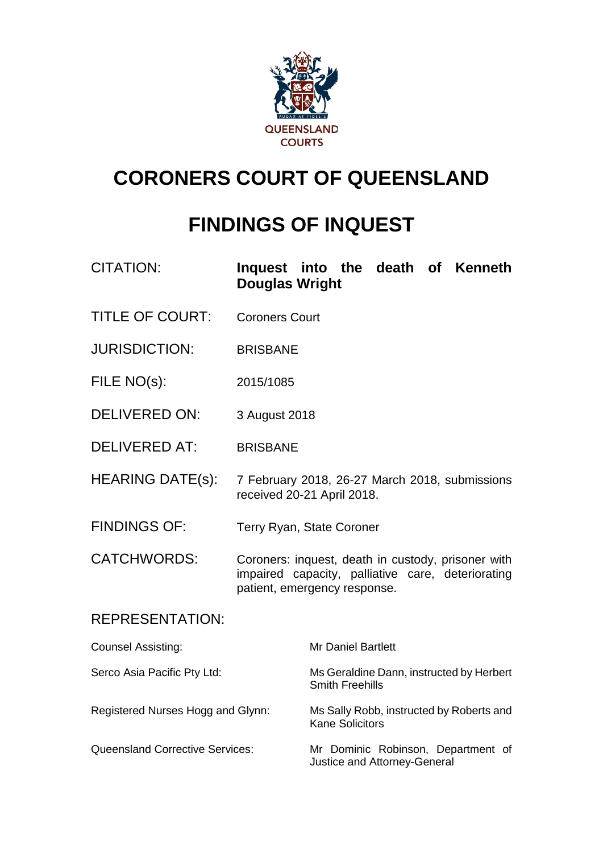

# **CORONERS COURT OF QUEENSLAND**

## **FINDINGS OF INQUEST**

| CITATION:                              | Inquest into the death of Kenneth<br><b>Douglas Wright</b>                                                                              |                                                                    |  |  |  |
|----------------------------------------|-----------------------------------------------------------------------------------------------------------------------------------------|--------------------------------------------------------------------|--|--|--|
| <b>TITLE OF COURT:</b>                 | <b>Coroners Court</b>                                                                                                                   |                                                                    |  |  |  |
| <b>JURISDICTION:</b>                   | <b>BRISBANE</b>                                                                                                                         |                                                                    |  |  |  |
| FILE NO(s):                            | 2015/1085                                                                                                                               |                                                                    |  |  |  |
| <b>DELIVERED ON:</b>                   | 3 August 2018                                                                                                                           |                                                                    |  |  |  |
| <b>DELIVERED AT:</b>                   | <b>BRISBANE</b>                                                                                                                         |                                                                    |  |  |  |
| <b>HEARING DATE(s):</b>                | 7 February 2018, 26-27 March 2018, submissions<br>received 20-21 April 2018.                                                            |                                                                    |  |  |  |
| <b>FINDINGS OF:</b>                    | Terry Ryan, State Coroner                                                                                                               |                                                                    |  |  |  |
| <b>CATCHWORDS:</b>                     | Coroners: inquest, death in custody, prisoner with<br>impaired capacity, palliative care, deteriorating<br>patient, emergency response. |                                                                    |  |  |  |
| <b>REPRESENTATION:</b>                 |                                                                                                                                         |                                                                    |  |  |  |
| <b>Counsel Assisting:</b>              |                                                                                                                                         | <b>Mr Daniel Bartlett</b>                                          |  |  |  |
| Serco Asia Pacific Pty Ltd:            |                                                                                                                                         | Ms Geraldine Dann, instructed by Herbert<br><b>Smith Freehills</b> |  |  |  |
| Registered Nurses Hogg and Glynn:      |                                                                                                                                         | Ms Sally Robb, instructed by Roberts and<br><b>Kane Solicitors</b> |  |  |  |
| <b>Queensland Corrective Services:</b> |                                                                                                                                         | Mr Dominic Robinson, Department of<br>Justice and Attorney-General |  |  |  |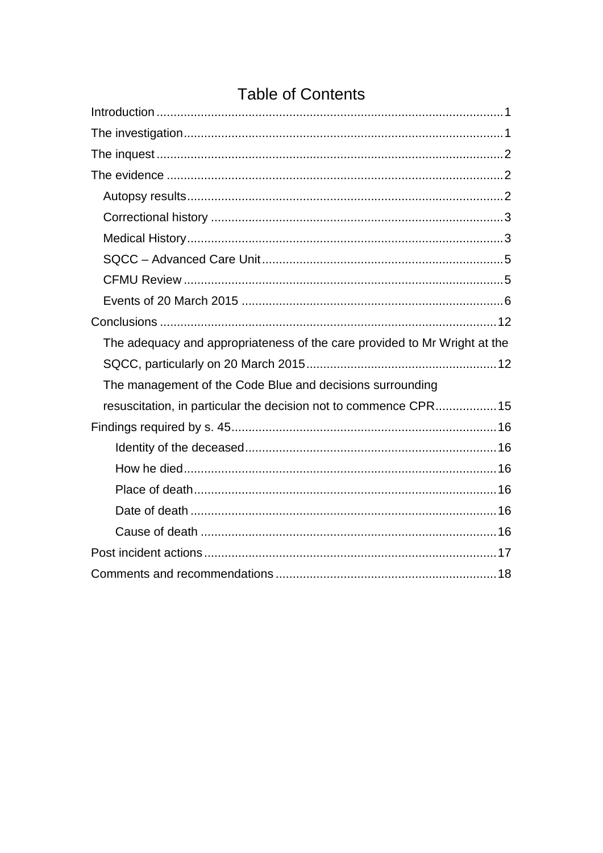| The adequacy and appropriateness of the care provided to Mr Wright at the |
|---------------------------------------------------------------------------|
|                                                                           |
| The management of the Code Blue and decisions surrounding                 |
| resuscitation, in particular the decision not to commence CPR 15          |
|                                                                           |
|                                                                           |
|                                                                           |
|                                                                           |
|                                                                           |
|                                                                           |
|                                                                           |
|                                                                           |

## **Table of Contents**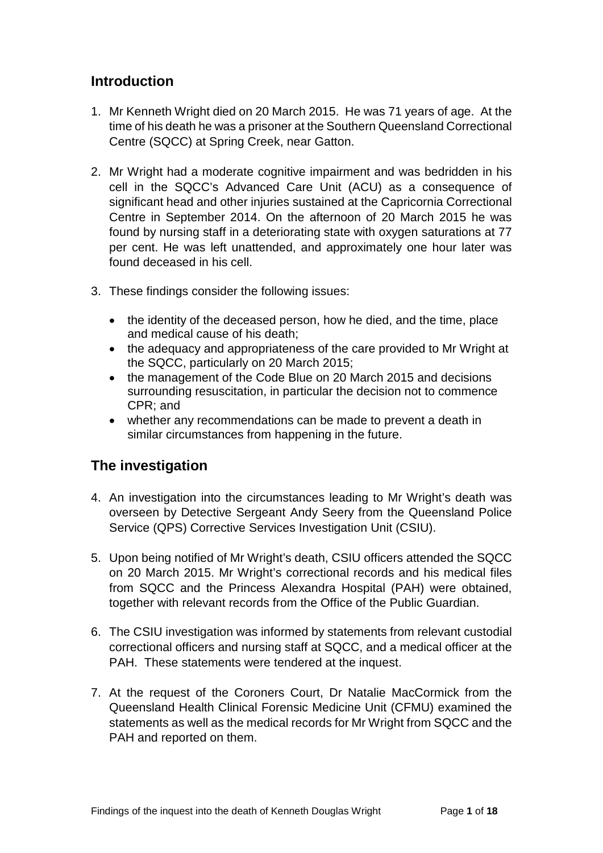## <span id="page-2-0"></span>**Introduction**

- 1. Mr Kenneth Wright died on 20 March 2015. He was 71 years of age. At the time of his death he was a prisoner at the Southern Queensland Correctional Centre (SQCC) at Spring Creek, near Gatton.
- 2. Mr Wright had a moderate cognitive impairment and was bedridden in his cell in the SQCC's Advanced Care Unit (ACU) as a consequence of significant head and other injuries sustained at the Capricornia Correctional Centre in September 2014. On the afternoon of 20 March 2015 he was found by nursing staff in a deteriorating state with oxygen saturations at 77 per cent. He was left unattended, and approximately one hour later was found deceased in his cell.
- 3. These findings consider the following issues:
	- the identity of the deceased person, how he died, and the time, place and medical cause of his death;
	- the adequacy and appropriateness of the care provided to Mr Wright at the SQCC, particularly on 20 March 2015;
	- the management of the Code Blue on 20 March 2015 and decisions surrounding resuscitation, in particular the decision not to commence CPR; and
	- whether any recommendations can be made to prevent a death in similar circumstances from happening in the future.

## <span id="page-2-1"></span>**The investigation**

- 4. An investigation into the circumstances leading to Mr Wright's death was overseen by Detective Sergeant Andy Seery from the Queensland Police Service (QPS) Corrective Services Investigation Unit (CSIU).
- 5. Upon being notified of Mr Wright's death, CSIU officers attended the SQCC on 20 March 2015. Mr Wright's correctional records and his medical files from SQCC and the Princess Alexandra Hospital (PAH) were obtained, together with relevant records from the Office of the Public Guardian.
- 6. The CSIU investigation was informed by statements from relevant custodial correctional officers and nursing staff at SQCC, and a medical officer at the PAH. These statements were tendered at the inquest.
- 7. At the request of the Coroners Court, Dr Natalie MacCormick from the Queensland Health Clinical Forensic Medicine Unit (CFMU) examined the statements as well as the medical records for Mr Wright from SQCC and the PAH and reported on them.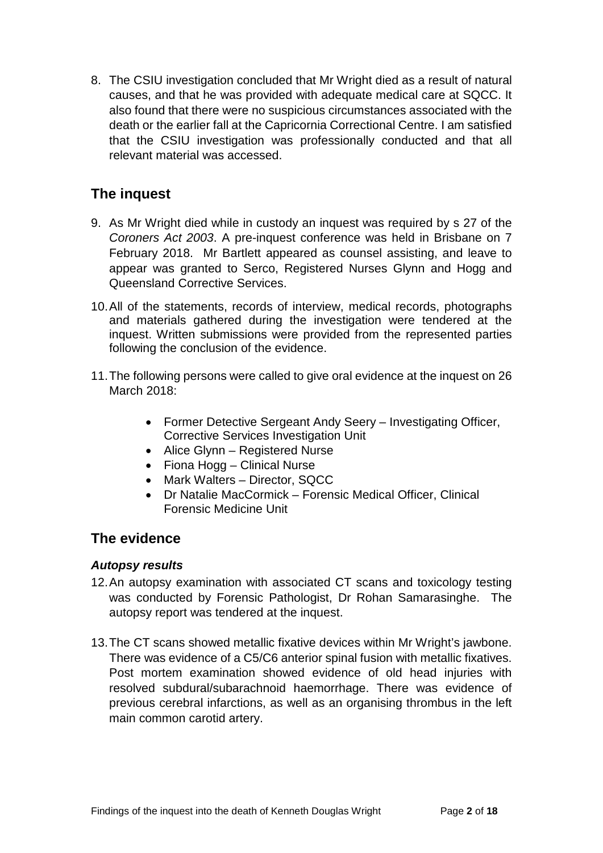8. The CSIU investigation concluded that Mr Wright died as a result of natural causes, and that he was provided with adequate medical care at SQCC. It also found that there were no suspicious circumstances associated with the death or the earlier fall at the Capricornia Correctional Centre. I am satisfied that the CSIU investigation was professionally conducted and that all relevant material was accessed.

## <span id="page-3-0"></span>**The inquest**

- 9. As Mr Wright died while in custody an inquest was required by s 27 of the *Coroners Act 2003*. A pre-inquest conference was held in Brisbane on 7 February 2018. Mr Bartlett appeared as counsel assisting, and leave to appear was granted to Serco, Registered Nurses Glynn and Hogg and Queensland Corrective Services.
- 10.All of the statements, records of interview, medical records, photographs and materials gathered during the investigation were tendered at the inquest. Written submissions were provided from the represented parties following the conclusion of the evidence.
- 11.The following persons were called to give oral evidence at the inquest on 26 March 2018:
	- Former Detective Sergeant Andy Seery Investigating Officer, Corrective Services Investigation Unit
	- Alice Glynn Registered Nurse
	- Fiona Hogg Clinical Nurse
	- Mark Walters Director, SQCC
	- Dr Natalie MacCormick Forensic Medical Officer, Clinical Forensic Medicine Unit

### <span id="page-3-1"></span>**The evidence**

#### <span id="page-3-2"></span>*Autopsy results*

- 12.An autopsy examination with associated CT scans and toxicology testing was conducted by Forensic Pathologist, Dr Rohan Samarasinghe. The autopsy report was tendered at the inquest.
- 13.The CT scans showed metallic fixative devices within Mr Wright's jawbone. There was evidence of a C5/C6 anterior spinal fusion with metallic fixatives. Post mortem examination showed evidence of old head injuries with resolved subdural/subarachnoid haemorrhage. There was evidence of previous cerebral infarctions, as well as an organising thrombus in the left main common carotid artery.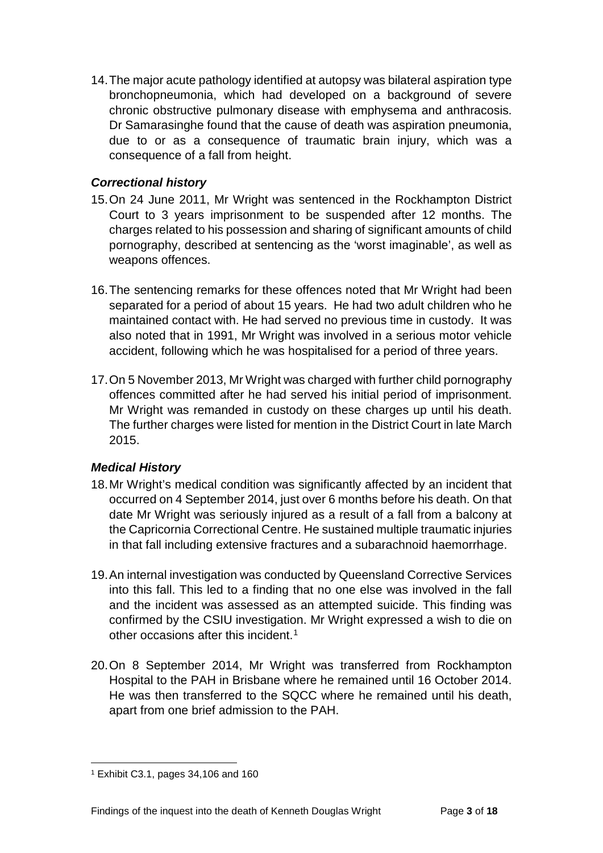14.The major acute pathology identified at autopsy was bilateral aspiration type bronchopneumonia, which had developed on a background of severe chronic obstructive pulmonary disease with emphysema and anthracosis. Dr Samarasinghe found that the cause of death was aspiration pneumonia, due to or as a consequence of traumatic brain injury, which was a consequence of a fall from height.

#### <span id="page-4-0"></span>*Correctional history*

- 15.On 24 June 2011, Mr Wright was sentenced in the Rockhampton District Court to 3 years imprisonment to be suspended after 12 months. The charges related to his possession and sharing of significant amounts of child pornography, described at sentencing as the 'worst imaginable', as well as weapons offences.
- 16.The sentencing remarks for these offences noted that Mr Wright had been separated for a period of about 15 years. He had two adult children who he maintained contact with. He had served no previous time in custody. It was also noted that in 1991, Mr Wright was involved in a serious motor vehicle accident, following which he was hospitalised for a period of three years.
- 17.On 5 November 2013, Mr Wright was charged with further child pornography offences committed after he had served his initial period of imprisonment. Mr Wright was remanded in custody on these charges up until his death. The further charges were listed for mention in the District Court in late March 2015.

#### <span id="page-4-1"></span>*Medical History*

- 18.Mr Wright's medical condition was significantly affected by an incident that occurred on 4 September 2014, just over 6 months before his death. On that date Mr Wright was seriously injured as a result of a fall from a balcony at the Capricornia Correctional Centre. He sustained multiple traumatic injuries in that fall including extensive fractures and a subarachnoid haemorrhage.
- 19.An internal investigation was conducted by Queensland Corrective Services into this fall. This led to a finding that no one else was involved in the fall and the incident was assessed as an attempted suicide. This finding was confirmed by the CSIU investigation. Mr Wright expressed a wish to die on other occasions after this incident.<sup>[1](#page-4-2)</sup>
- 20.On 8 September 2014, Mr Wright was transferred from Rockhampton Hospital to the PAH in Brisbane where he remained until 16 October 2014. He was then transferred to the SQCC where he remained until his death, apart from one brief admission to the PAH.

<span id="page-4-2"></span><sup>1</sup> Exhibit C3.1, pages 34,106 and 160  $\overline{a}$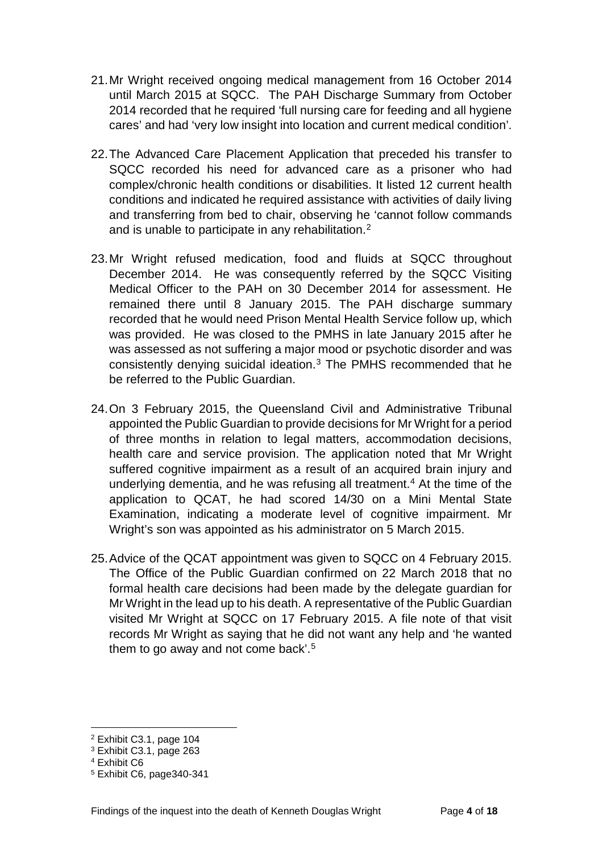- 21.Mr Wright received ongoing medical management from 16 October 2014 until March 2015 at SQCC. The PAH Discharge Summary from October 2014 recorded that he required 'full nursing care for feeding and all hygiene cares' and had 'very low insight into location and current medical condition'.
- 22.The Advanced Care Placement Application that preceded his transfer to SQCC recorded his need for advanced care as a prisoner who had complex/chronic health conditions or disabilities. It listed 12 current health conditions and indicated he required assistance with activities of daily living and transferring from bed to chair, observing he 'cannot follow commands and is unable to participate in any rehabilitation.[2](#page-5-0)
- 23.Mr Wright refused medication, food and fluids at SQCC throughout December 2014. He was consequently referred by the SQCC Visiting Medical Officer to the PAH on 30 December 2014 for assessment. He remained there until 8 January 2015. The PAH discharge summary recorded that he would need Prison Mental Health Service follow up, which was provided. He was closed to the PMHS in late January 2015 after he was assessed as not suffering a major mood or psychotic disorder and was consistently denying suicidal ideation.[3](#page-5-1) The PMHS recommended that he be referred to the Public Guardian.
- 24.On 3 February 2015, the Queensland Civil and Administrative Tribunal appointed the Public Guardian to provide decisions for Mr Wright for a period of three months in relation to legal matters, accommodation decisions, health care and service provision. The application noted that Mr Wright suffered cognitive impairment as a result of an acquired brain injury and underlying dementia, and he was refusing all treatment. [4](#page-5-2) At the time of the application to QCAT, he had scored 14/30 on a Mini Mental State Examination, indicating a moderate level of cognitive impairment. Mr Wright's son was appointed as his administrator on 5 March 2015.
- 25.Advice of the QCAT appointment was given to SQCC on 4 February 2015. The Office of the Public Guardian confirmed on 22 March 2018 that no formal health care decisions had been made by the delegate guardian for Mr Wright in the lead up to his death. A representative of the Public Guardian visited Mr Wright at SQCC on 17 February 2015. A file note of that visit records Mr Wright as saying that he did not want any help and 'he wanted them to go away and not come back'.<sup>[5](#page-5-3)</sup>

 $\overline{a}$ 

<span id="page-5-0"></span><sup>2</sup> Exhibit C3.1, page 104

<span id="page-5-1"></span><sup>3</sup> Exhibit C3.1, page 263

<span id="page-5-2"></span><sup>4</sup> Exhibit C6

<span id="page-5-3"></span><sup>5</sup> Exhibit C6, page340-341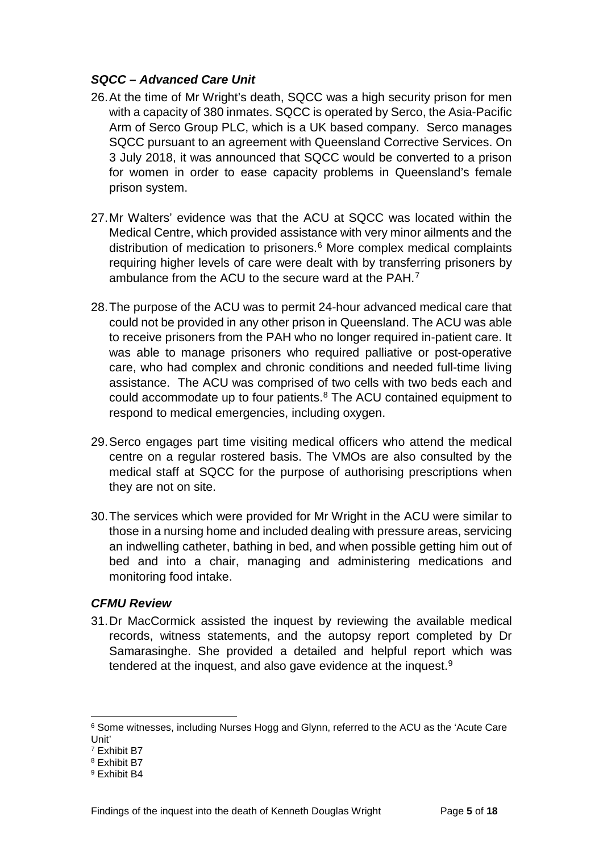#### <span id="page-6-0"></span>*SQCC – Advanced Care Unit*

- 26.At the time of Mr Wright's death, SQCC was a high security prison for men with a capacity of 380 inmates. SQCC is operated by Serco, the Asia-Pacific Arm of Serco Group PLC, which is a UK based company. Serco manages SQCC pursuant to an agreement with Queensland Corrective Services. On 3 July 2018, it was announced that SQCC would be converted to a prison for women in order to ease capacity problems in Queensland's female prison system.
- 27.Mr Walters' evidence was that the ACU at SQCC was located within the Medical Centre, which provided assistance with very minor ailments and the distribution of medication to prisoners. [6](#page-6-2) More complex medical complaints requiring higher levels of care were dealt with by transferring prisoners by ambulance from the ACU to the secure ward at the PAH.[7](#page-6-3)
- 28.The purpose of the ACU was to permit 24-hour advanced medical care that could not be provided in any other prison in Queensland. The ACU was able to receive prisoners from the PAH who no longer required in-patient care. It was able to manage prisoners who required palliative or post-operative care, who had complex and chronic conditions and needed full-time living assistance. The ACU was comprised of two cells with two beds each and could accommodate up to four patients.[8](#page-6-4) The ACU contained equipment to respond to medical emergencies, including oxygen.
- 29.Serco engages part time visiting medical officers who attend the medical centre on a regular rostered basis. The VMOs are also consulted by the medical staff at SQCC for the purpose of authorising prescriptions when they are not on site.
- 30.The services which were provided for Mr Wright in the ACU were similar to those in a nursing home and included dealing with pressure areas, servicing an indwelling catheter, bathing in bed, and when possible getting him out of bed and into a chair, managing and administering medications and monitoring food intake.

#### <span id="page-6-1"></span>*CFMU Review*

31.Dr MacCormick assisted the inquest by reviewing the available medical records, witness statements, and the autopsy report completed by Dr Samarasinghe. She provided a detailed and helpful report which was tendered at the inquest, and also gave evidence at the inquest.[9](#page-6-5)

 $\overline{a}$ 

<span id="page-6-2"></span><sup>6</sup> Some witnesses, including Nurses Hogg and Glynn, referred to the ACU as the 'Acute Care Unit'

<span id="page-6-3"></span><sup>7</sup> Exhibit B7

<span id="page-6-4"></span><sup>8</sup> Exhibit B7

<span id="page-6-5"></span><sup>9</sup> Exhibit B4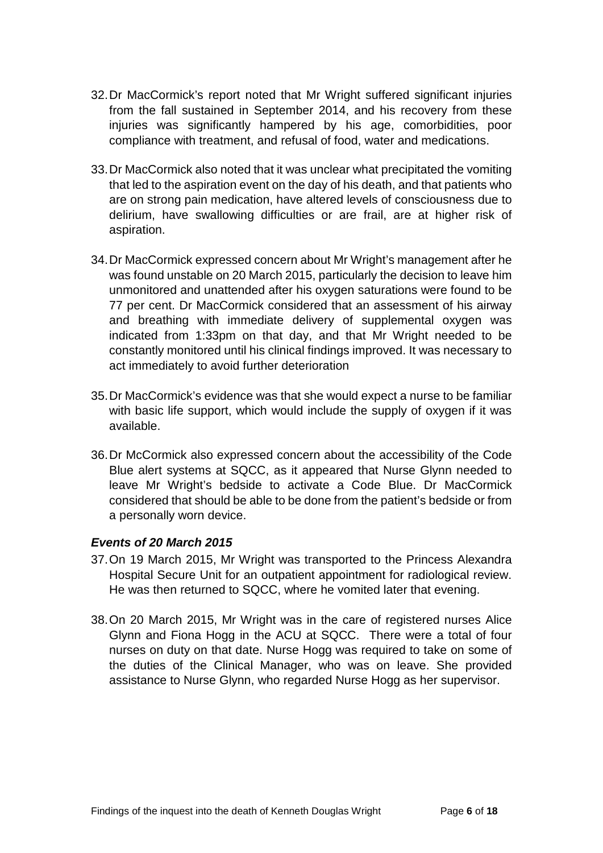- 32.Dr MacCormick's report noted that Mr Wright suffered significant injuries from the fall sustained in September 2014, and his recovery from these injuries was significantly hampered by his age, comorbidities, poor compliance with treatment, and refusal of food, water and medications.
- 33.Dr MacCormick also noted that it was unclear what precipitated the vomiting that led to the aspiration event on the day of his death, and that patients who are on strong pain medication, have altered levels of consciousness due to delirium, have swallowing difficulties or are frail, are at higher risk of aspiration.
- 34.Dr MacCormick expressed concern about Mr Wright's management after he was found unstable on 20 March 2015, particularly the decision to leave him unmonitored and unattended after his oxygen saturations were found to be 77 per cent. Dr MacCormick considered that an assessment of his airway and breathing with immediate delivery of supplemental oxygen was indicated from 1:33pm on that day, and that Mr Wright needed to be constantly monitored until his clinical findings improved. It was necessary to act immediately to avoid further deterioration
- 35.Dr MacCormick's evidence was that she would expect a nurse to be familiar with basic life support, which would include the supply of oxygen if it was available.
- 36.Dr McCormick also expressed concern about the accessibility of the Code Blue alert systems at SQCC, as it appeared that Nurse Glynn needed to leave Mr Wright's bedside to activate a Code Blue. Dr MacCormick considered that should be able to be done from the patient's bedside or from a personally worn device.

#### <span id="page-7-0"></span>*Events of 20 March 2015*

- 37.On 19 March 2015, Mr Wright was transported to the Princess Alexandra Hospital Secure Unit for an outpatient appointment for radiological review. He was then returned to SQCC, where he vomited later that evening.
- 38.On 20 March 2015, Mr Wright was in the care of registered nurses Alice Glynn and Fiona Hogg in the ACU at SQCC. There were a total of four nurses on duty on that date. Nurse Hogg was required to take on some of the duties of the Clinical Manager, who was on leave. She provided assistance to Nurse Glynn, who regarded Nurse Hogg as her supervisor.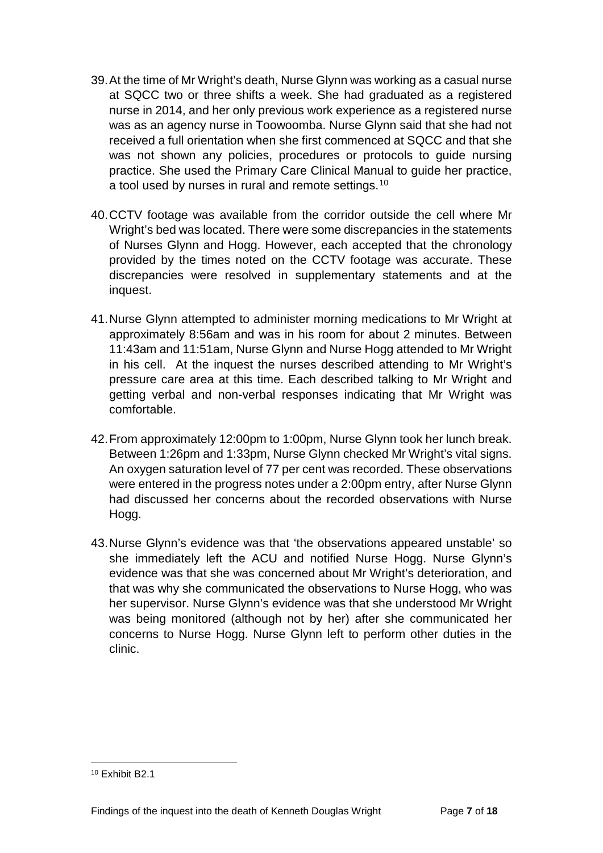- 39.At the time of Mr Wright's death, Nurse Glynn was working as a casual nurse at SQCC two or three shifts a week. She had graduated as a registered nurse in 2014, and her only previous work experience as a registered nurse was as an agency nurse in Toowoomba. Nurse Glynn said that she had not received a full orientation when she first commenced at SQCC and that she was not shown any policies, procedures or protocols to guide nursing practice. She used the Primary Care Clinical Manual to guide her practice, a tool used by nurses in rural and remote settings.<sup>[10](#page-8-0)</sup>
- 40.CCTV footage was available from the corridor outside the cell where Mr Wright's bed was located. There were some discrepancies in the statements of Nurses Glynn and Hogg. However, each accepted that the chronology provided by the times noted on the CCTV footage was accurate. These discrepancies were resolved in supplementary statements and at the inquest.
- 41.Nurse Glynn attempted to administer morning medications to Mr Wright at approximately 8:56am and was in his room for about 2 minutes. Between 11:43am and 11:51am, Nurse Glynn and Nurse Hogg attended to Mr Wright in his cell. At the inquest the nurses described attending to Mr Wright's pressure care area at this time. Each described talking to Mr Wright and getting verbal and non-verbal responses indicating that Mr Wright was comfortable.
- 42.From approximately 12:00pm to 1:00pm, Nurse Glynn took her lunch break. Between 1:26pm and 1:33pm, Nurse Glynn checked Mr Wright's vital signs. An oxygen saturation level of 77 per cent was recorded. These observations were entered in the progress notes under a 2:00pm entry, after Nurse Glynn had discussed her concerns about the recorded observations with Nurse Hogg.
- 43.Nurse Glynn's evidence was that 'the observations appeared unstable' so she immediately left the ACU and notified Nurse Hogg. Nurse Glynn's evidence was that she was concerned about Mr Wright's deterioration, and that was why she communicated the observations to Nurse Hogg, who was her supervisor. Nurse Glynn's evidence was that she understood Mr Wright was being monitored (although not by her) after she communicated her concerns to Nurse Hogg. Nurse Glynn left to perform other duties in the clinic.

<span id="page-8-0"></span><sup>&</sup>lt;sup>10</sup> Exhibit B<sub>2</sub> 1  $\overline{a}$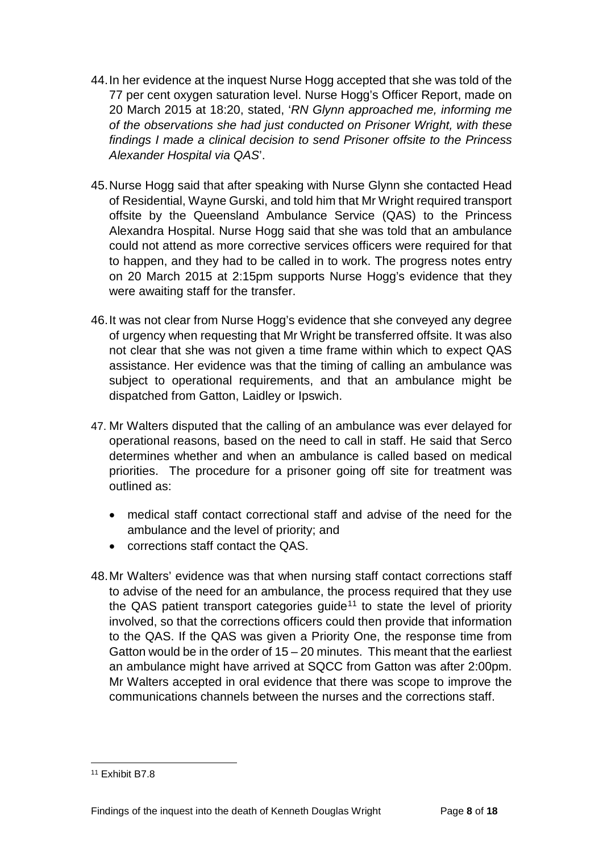- 44.In her evidence at the inquest Nurse Hogg accepted that she was told of the 77 per cent oxygen saturation level. Nurse Hogg's Officer Report, made on 20 March 2015 at 18:20, stated, '*RN Glynn approached me, informing me of the observations she had just conducted on Prisoner Wright, with these findings I made a clinical decision to send Prisoner offsite to the Princess Alexander Hospital via QAS*'.
- 45.Nurse Hogg said that after speaking with Nurse Glynn she contacted Head of Residential, Wayne Gurski, and told him that Mr Wright required transport offsite by the Queensland Ambulance Service (QAS) to the Princess Alexandra Hospital. Nurse Hogg said that she was told that an ambulance could not attend as more corrective services officers were required for that to happen, and they had to be called in to work. The progress notes entry on 20 March 2015 at 2:15pm supports Nurse Hogg's evidence that they were awaiting staff for the transfer.
- 46.It was not clear from Nurse Hogg's evidence that she conveyed any degree of urgency when requesting that Mr Wright be transferred offsite. It was also not clear that she was not given a time frame within which to expect QAS assistance. Her evidence was that the timing of calling an ambulance was subject to operational requirements, and that an ambulance might be dispatched from Gatton, Laidley or Ipswich.
- 47. Mr Walters disputed that the calling of an ambulance was ever delayed for operational reasons, based on the need to call in staff. He said that Serco determines whether and when an ambulance is called based on medical priorities. The procedure for a prisoner going off site for treatment was outlined as:
	- medical staff contact correctional staff and advise of the need for the ambulance and the level of priority; and
	- corrections staff contact the QAS.
- 48.Mr Walters' evidence was that when nursing staff contact corrections staff to advise of the need for an ambulance, the process required that they use the QAS patient transport categories quide<sup>[11](#page-9-0)</sup> to state the level of priority involved, so that the corrections officers could then provide that information to the QAS. If the QAS was given a Priority One, the response time from Gatton would be in the order of 15 – 20 minutes. This meant that the earliest an ambulance might have arrived at SQCC from Gatton was after 2:00pm. Mr Walters accepted in oral evidence that there was scope to improve the communications channels between the nurses and the corrections staff.

<span id="page-9-0"></span><sup>11</sup> Exhibit B7.8  $\overline{a}$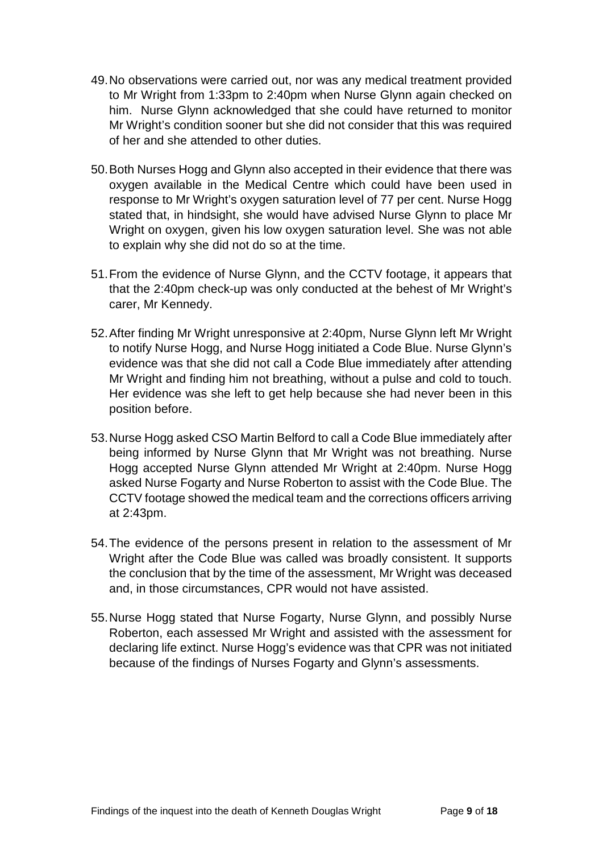- 49.No observations were carried out, nor was any medical treatment provided to Mr Wright from 1:33pm to 2:40pm when Nurse Glynn again checked on him. Nurse Glynn acknowledged that she could have returned to monitor Mr Wright's condition sooner but she did not consider that this was required of her and she attended to other duties.
- 50.Both Nurses Hogg and Glynn also accepted in their evidence that there was oxygen available in the Medical Centre which could have been used in response to Mr Wright's oxygen saturation level of 77 per cent. Nurse Hogg stated that, in hindsight, she would have advised Nurse Glynn to place Mr Wright on oxygen, given his low oxygen saturation level. She was not able to explain why she did not do so at the time.
- 51.From the evidence of Nurse Glynn, and the CCTV footage, it appears that that the 2:40pm check-up was only conducted at the behest of Mr Wright's carer, Mr Kennedy.
- 52.After finding Mr Wright unresponsive at 2:40pm, Nurse Glynn left Mr Wright to notify Nurse Hogg, and Nurse Hogg initiated a Code Blue. Nurse Glynn's evidence was that she did not call a Code Blue immediately after attending Mr Wright and finding him not breathing, without a pulse and cold to touch. Her evidence was she left to get help because she had never been in this position before.
- 53.Nurse Hogg asked CSO Martin Belford to call a Code Blue immediately after being informed by Nurse Glynn that Mr Wright was not breathing. Nurse Hogg accepted Nurse Glynn attended Mr Wright at 2:40pm. Nurse Hogg asked Nurse Fogarty and Nurse Roberton to assist with the Code Blue. The CCTV footage showed the medical team and the corrections officers arriving at 2:43pm.
- 54.The evidence of the persons present in relation to the assessment of Mr Wright after the Code Blue was called was broadly consistent. It supports the conclusion that by the time of the assessment, Mr Wright was deceased and, in those circumstances, CPR would not have assisted.
- 55.Nurse Hogg stated that Nurse Fogarty, Nurse Glynn, and possibly Nurse Roberton, each assessed Mr Wright and assisted with the assessment for declaring life extinct. Nurse Hogg's evidence was that CPR was not initiated because of the findings of Nurses Fogarty and Glynn's assessments.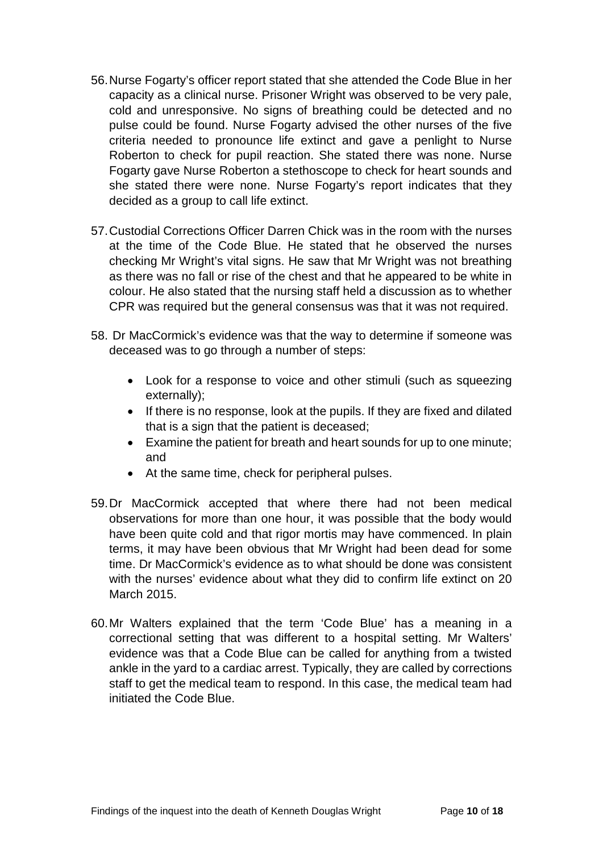- 56.Nurse Fogarty's officer report stated that she attended the Code Blue in her capacity as a clinical nurse. Prisoner Wright was observed to be very pale, cold and unresponsive. No signs of breathing could be detected and no pulse could be found. Nurse Fogarty advised the other nurses of the five criteria needed to pronounce life extinct and gave a penlight to Nurse Roberton to check for pupil reaction. She stated there was none. Nurse Fogarty gave Nurse Roberton a stethoscope to check for heart sounds and she stated there were none. Nurse Fogarty's report indicates that they decided as a group to call life extinct.
- 57.Custodial Corrections Officer Darren Chick was in the room with the nurses at the time of the Code Blue. He stated that he observed the nurses checking Mr Wright's vital signs. He saw that Mr Wright was not breathing as there was no fall or rise of the chest and that he appeared to be white in colour. He also stated that the nursing staff held a discussion as to whether CPR was required but the general consensus was that it was not required.
- 58. Dr MacCormick's evidence was that the way to determine if someone was deceased was to go through a number of steps:
	- Look for a response to voice and other stimuli (such as squeezing externally);
	- If there is no response, look at the pupils. If they are fixed and dilated that is a sign that the patient is deceased;
	- Examine the patient for breath and heart sounds for up to one minute; and
	- At the same time, check for peripheral pulses.
- 59.Dr MacCormick accepted that where there had not been medical observations for more than one hour, it was possible that the body would have been quite cold and that rigor mortis may have commenced. In plain terms, it may have been obvious that Mr Wright had been dead for some time. Dr MacCormick's evidence as to what should be done was consistent with the nurses' evidence about what they did to confirm life extinct on 20 March 2015.
- 60.Mr Walters explained that the term 'Code Blue' has a meaning in a correctional setting that was different to a hospital setting. Mr Walters' evidence was that a Code Blue can be called for anything from a twisted ankle in the yard to a cardiac arrest. Typically, they are called by corrections staff to get the medical team to respond. In this case, the medical team had initiated the Code Blue.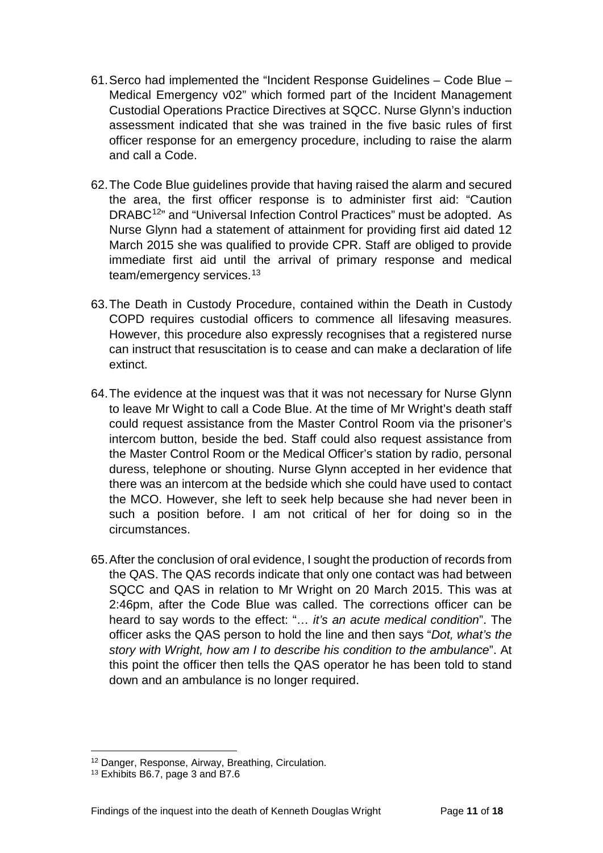- 61.Serco had implemented the "Incident Response Guidelines Code Blue Medical Emergency v02" which formed part of the Incident Management Custodial Operations Practice Directives at SQCC. Nurse Glynn's induction assessment indicated that she was trained in the five basic rules of first officer response for an emergency procedure, including to raise the alarm and call a Code.
- 62.The Code Blue guidelines provide that having raised the alarm and secured the area, the first officer response is to administer first aid: "Caution DRABC<sup>[12](#page-12-0)</sup>" and "Universal Infection Control Practices" must be adopted. As Nurse Glynn had a statement of attainment for providing first aid dated 12 March 2015 she was qualified to provide CPR. Staff are obliged to provide immediate first aid until the arrival of primary response and medical team/emergency services. [13](#page-12-1)
- 63.The Death in Custody Procedure, contained within the Death in Custody COPD requires custodial officers to commence all lifesaving measures. However, this procedure also expressly recognises that a registered nurse can instruct that resuscitation is to cease and can make a declaration of life extinct.
- 64.The evidence at the inquest was that it was not necessary for Nurse Glynn to leave Mr Wight to call a Code Blue. At the time of Mr Wright's death staff could request assistance from the Master Control Room via the prisoner's intercom button, beside the bed. Staff could also request assistance from the Master Control Room or the Medical Officer's station by radio, personal duress, telephone or shouting. Nurse Glynn accepted in her evidence that there was an intercom at the bedside which she could have used to contact the MCO. However, she left to seek help because she had never been in such a position before. I am not critical of her for doing so in the circumstances.
- 65.After the conclusion of oral evidence, I sought the production of records from the QAS. The QAS records indicate that only one contact was had between SQCC and QAS in relation to Mr Wright on 20 March 2015. This was at 2:46pm, after the Code Blue was called. The corrections officer can be heard to say words to the effect: "… *it's an acute medical condition*". The officer asks the QAS person to hold the line and then says "*Dot, what's the story with Wright, how am I to describe his condition to the ambulance*". At this point the officer then tells the QAS operator he has been told to stand down and an ambulance is no longer required.

<sup>12</sup> Danger, Response, Airway, Breathing, Circulation.  $\overline{a}$ 

<span id="page-12-1"></span><span id="page-12-0"></span><sup>13</sup> Exhibits B6.7, page 3 and B7.6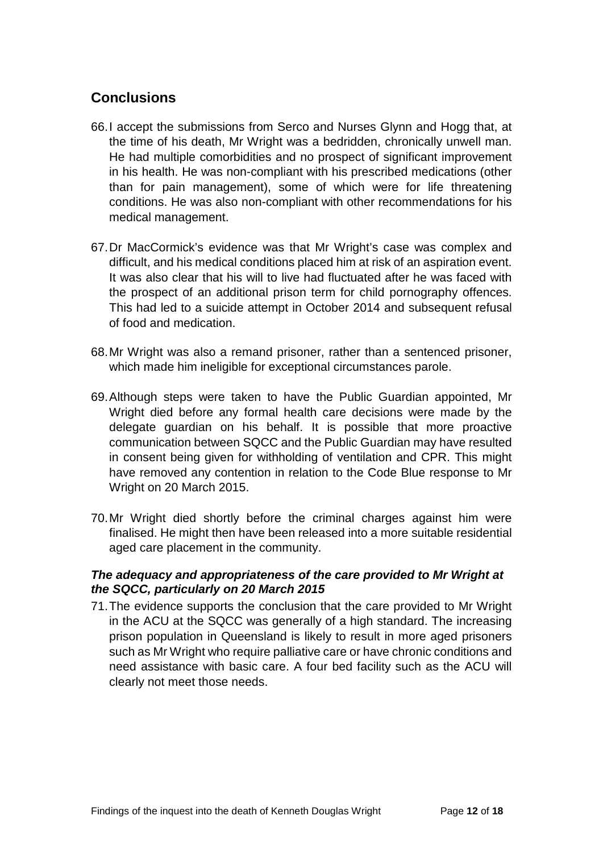## <span id="page-13-0"></span>**Conclusions**

- 66.I accept the submissions from Serco and Nurses Glynn and Hogg that, at the time of his death, Mr Wright was a bedridden, chronically unwell man. He had multiple comorbidities and no prospect of significant improvement in his health. He was non-compliant with his prescribed medications (other than for pain management), some of which were for life threatening conditions. He was also non-compliant with other recommendations for his medical management.
- 67.Dr MacCormick's evidence was that Mr Wright's case was complex and difficult, and his medical conditions placed him at risk of an aspiration event. It was also clear that his will to live had fluctuated after he was faced with the prospect of an additional prison term for child pornography offences. This had led to a suicide attempt in October 2014 and subsequent refusal of food and medication.
- 68.Mr Wright was also a remand prisoner, rather than a sentenced prisoner, which made him ineligible for exceptional circumstances parole.
- 69.Although steps were taken to have the Public Guardian appointed, Mr Wright died before any formal health care decisions were made by the delegate guardian on his behalf. It is possible that more proactive communication between SQCC and the Public Guardian may have resulted in consent being given for withholding of ventilation and CPR. This might have removed any contention in relation to the Code Blue response to Mr Wright on 20 March 2015.
- 70.Mr Wright died shortly before the criminal charges against him were finalised. He might then have been released into a more suitable residential aged care placement in the community.

#### <span id="page-13-1"></span>*The adequacy and appropriateness of the care provided to Mr Wright at the SQCC, particularly on 20 March 2015*

71.The evidence supports the conclusion that the care provided to Mr Wright in the ACU at the SQCC was generally of a high standard. The increasing prison population in Queensland is likely to result in more aged prisoners such as Mr Wright who require palliative care or have chronic conditions and need assistance with basic care. A four bed facility such as the ACU will clearly not meet those needs.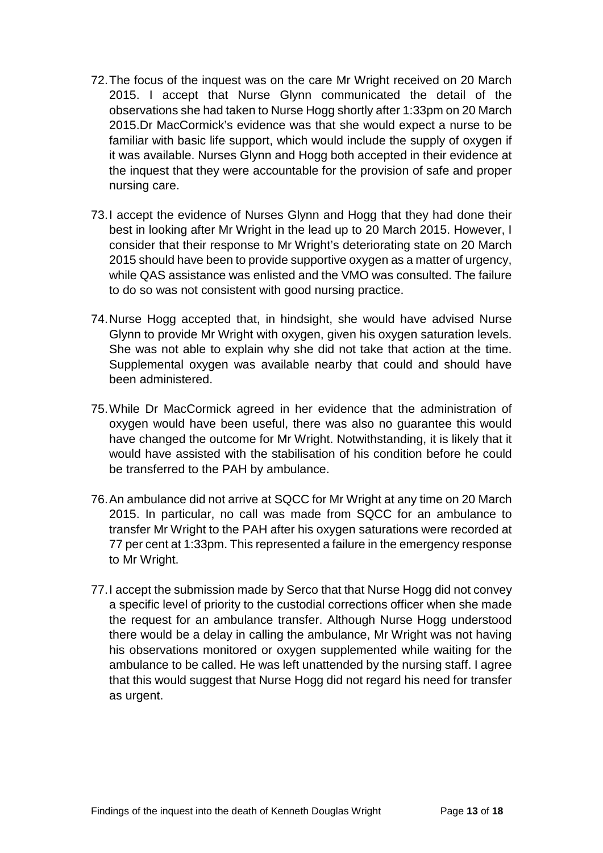- 72.The focus of the inquest was on the care Mr Wright received on 20 March 2015. I accept that Nurse Glynn communicated the detail of the observations she had taken to Nurse Hogg shortly after 1:33pm on 20 March 2015.Dr MacCormick's evidence was that she would expect a nurse to be familiar with basic life support, which would include the supply of oxygen if it was available. Nurses Glynn and Hogg both accepted in their evidence at the inquest that they were accountable for the provision of safe and proper nursing care.
- 73.I accept the evidence of Nurses Glynn and Hogg that they had done their best in looking after Mr Wright in the lead up to 20 March 2015. However, I consider that their response to Mr Wright's deteriorating state on 20 March 2015 should have been to provide supportive oxygen as a matter of urgency, while QAS assistance was enlisted and the VMO was consulted. The failure to do so was not consistent with good nursing practice.
- 74.Nurse Hogg accepted that, in hindsight, she would have advised Nurse Glynn to provide Mr Wright with oxygen, given his oxygen saturation levels. She was not able to explain why she did not take that action at the time. Supplemental oxygen was available nearby that could and should have been administered.
- 75.While Dr MacCormick agreed in her evidence that the administration of oxygen would have been useful, there was also no guarantee this would have changed the outcome for Mr Wright. Notwithstanding, it is likely that it would have assisted with the stabilisation of his condition before he could be transferred to the PAH by ambulance.
- 76.An ambulance did not arrive at SQCC for Mr Wright at any time on 20 March 2015. In particular, no call was made from SQCC for an ambulance to transfer Mr Wright to the PAH after his oxygen saturations were recorded at 77 per cent at 1:33pm. This represented a failure in the emergency response to Mr Wright.
- 77.I accept the submission made by Serco that that Nurse Hogg did not convey a specific level of priority to the custodial corrections officer when she made the request for an ambulance transfer. Although Nurse Hogg understood there would be a delay in calling the ambulance, Mr Wright was not having his observations monitored or oxygen supplemented while waiting for the ambulance to be called. He was left unattended by the nursing staff. I agree that this would suggest that Nurse Hogg did not regard his need for transfer as urgent.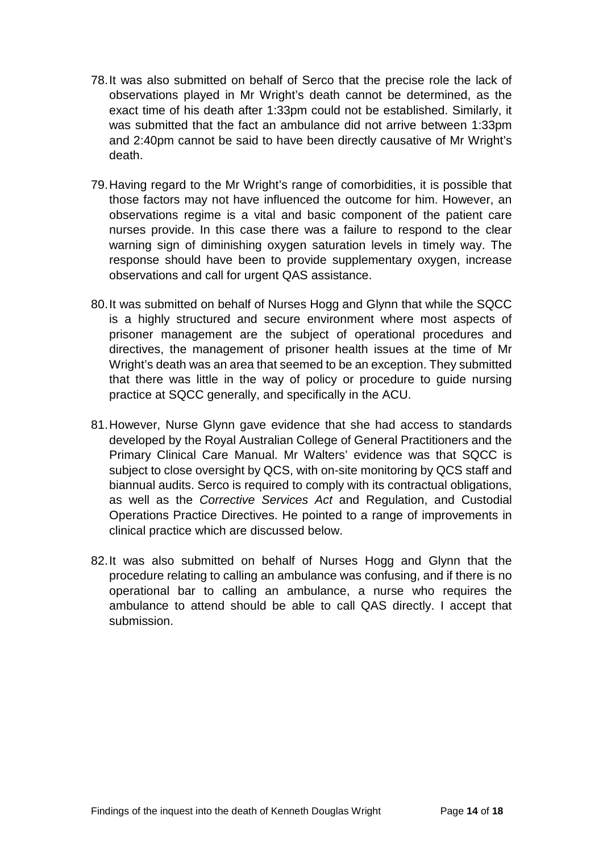- 78.It was also submitted on behalf of Serco that the precise role the lack of observations played in Mr Wright's death cannot be determined, as the exact time of his death after 1:33pm could not be established. Similarly, it was submitted that the fact an ambulance did not arrive between 1:33pm and 2:40pm cannot be said to have been directly causative of Mr Wright's death.
- 79.Having regard to the Mr Wright's range of comorbidities, it is possible that those factors may not have influenced the outcome for him. However, an observations regime is a vital and basic component of the patient care nurses provide. In this case there was a failure to respond to the clear warning sign of diminishing oxygen saturation levels in timely way. The response should have been to provide supplementary oxygen, increase observations and call for urgent QAS assistance.
- 80.It was submitted on behalf of Nurses Hogg and Glynn that while the SQCC is a highly structured and secure environment where most aspects of prisoner management are the subject of operational procedures and directives, the management of prisoner health issues at the time of Mr Wright's death was an area that seemed to be an exception. They submitted that there was little in the way of policy or procedure to guide nursing practice at SQCC generally, and specifically in the ACU.
- 81.However, Nurse Glynn gave evidence that she had access to standards developed by the Royal Australian College of General Practitioners and the Primary Clinical Care Manual. Mr Walters' evidence was that SQCC is subject to close oversight by QCS, with on-site monitoring by QCS staff and biannual audits. Serco is required to comply with its contractual obligations, as well as the *Corrective Services Act* and Regulation, and Custodial Operations Practice Directives. He pointed to a range of improvements in clinical practice which are discussed below.
- 82.It was also submitted on behalf of Nurses Hogg and Glynn that the procedure relating to calling an ambulance was confusing, and if there is no operational bar to calling an ambulance, a nurse who requires the ambulance to attend should be able to call QAS directly. I accept that submission.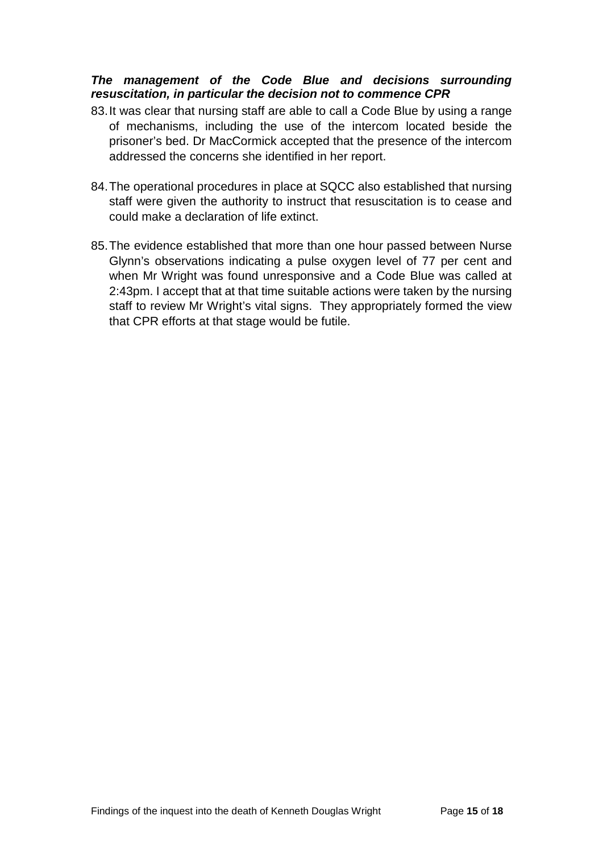#### <span id="page-16-0"></span>*The management of the Code Blue and decisions surrounding resuscitation, in particular the decision not to commence CPR*

- 83.It was clear that nursing staff are able to call a Code Blue by using a range of mechanisms, including the use of the intercom located beside the prisoner's bed. Dr MacCormick accepted that the presence of the intercom addressed the concerns she identified in her report.
- 84.The operational procedures in place at SQCC also established that nursing staff were given the authority to instruct that resuscitation is to cease and could make a declaration of life extinct.
- 85.The evidence established that more than one hour passed between Nurse Glynn's observations indicating a pulse oxygen level of 77 per cent and when Mr Wright was found unresponsive and a Code Blue was called at 2:43pm. I accept that at that time suitable actions were taken by the nursing staff to review Mr Wright's vital signs. They appropriately formed the view that CPR efforts at that stage would be futile.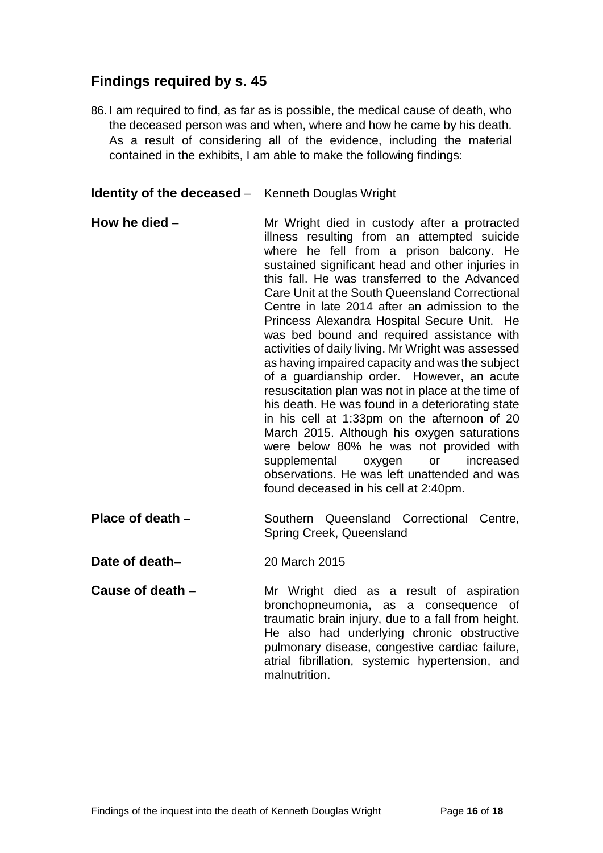## <span id="page-17-0"></span>**Findings required by s. 45**

86. I am required to find, as far as is possible, the medical cause of death, who the deceased person was and when, where and how he came by his death. As a result of considering all of the evidence, including the material contained in the exhibits, I am able to make the following findings:

<span id="page-17-1"></span>**Identity of the deceased** – Kenneth Douglas Wright

- <span id="page-17-2"></span>**How he died** – Mr Wright died in custody after a protracted illness resulting from an attempted suicide where he fell from a prison balcony. He sustained significant head and other injuries in this fall. He was transferred to the Advanced Care Unit at the South Queensland Correctional Centre in late 2014 after an admission to the Princess Alexandra Hospital Secure Unit. He was bed bound and required assistance with activities of daily living. Mr Wright was assessed as having impaired capacity and was the subject of a guardianship order. However, an acute resuscitation plan was not in place at the time of his death. He was found in a deteriorating state in his cell at 1:33pm on the afternoon of 20 March 2015. Although his oxygen saturations were below 80% he was not provided with supplemental oxygen or increased observations. He was left unattended and was found deceased in his cell at 2:40pm.
- <span id="page-17-3"></span>**Place of death** – Southern Queensland Correctional Centre, Spring Creek, Queensland

<span id="page-17-4"></span>**Date of death–** 20 March 2015

<span id="page-17-5"></span>**Cause of death** – Mr Wright died as a result of aspiration bronchopneumonia, as a consequence of traumatic brain injury, due to a fall from height. He also had underlying chronic obstructive pulmonary disease, congestive cardiac failure, atrial fibrillation, systemic hypertension, and malnutrition.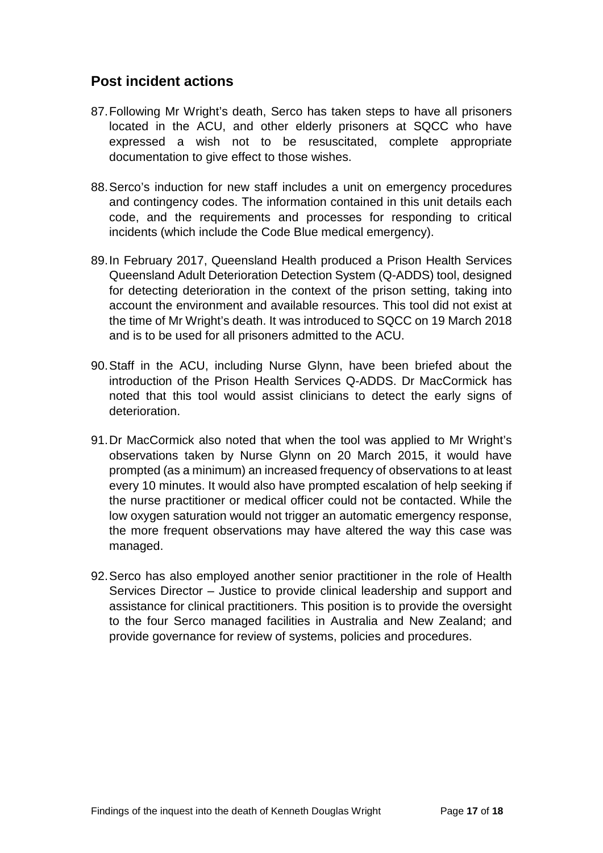## <span id="page-18-0"></span>**Post incident actions**

- 87.Following Mr Wright's death, Serco has taken steps to have all prisoners located in the ACU, and other elderly prisoners at SQCC who have expressed a wish not to be resuscitated, complete appropriate documentation to give effect to those wishes.
- 88.Serco's induction for new staff includes a unit on emergency procedures and contingency codes. The information contained in this unit details each code, and the requirements and processes for responding to critical incidents (which include the Code Blue medical emergency).
- 89.In February 2017, Queensland Health produced a Prison Health Services Queensland Adult Deterioration Detection System (Q-ADDS) tool, designed for detecting deterioration in the context of the prison setting, taking into account the environment and available resources. This tool did not exist at the time of Mr Wright's death. It was introduced to SQCC on 19 March 2018 and is to be used for all prisoners admitted to the ACU.
- 90.Staff in the ACU, including Nurse Glynn, have been briefed about the introduction of the Prison Health Services Q-ADDS. Dr MacCormick has noted that this tool would assist clinicians to detect the early signs of deterioration.
- 91.Dr MacCormick also noted that when the tool was applied to Mr Wright's observations taken by Nurse Glynn on 20 March 2015, it would have prompted (as a minimum) an increased frequency of observations to at least every 10 minutes. It would also have prompted escalation of help seeking if the nurse practitioner or medical officer could not be contacted. While the low oxygen saturation would not trigger an automatic emergency response, the more frequent observations may have altered the way this case was managed.
- 92.Serco has also employed another senior practitioner in the role of Health Services Director – Justice to provide clinical leadership and support and assistance for clinical practitioners. This position is to provide the oversight to the four Serco managed facilities in Australia and New Zealand; and provide governance for review of systems, policies and procedures.